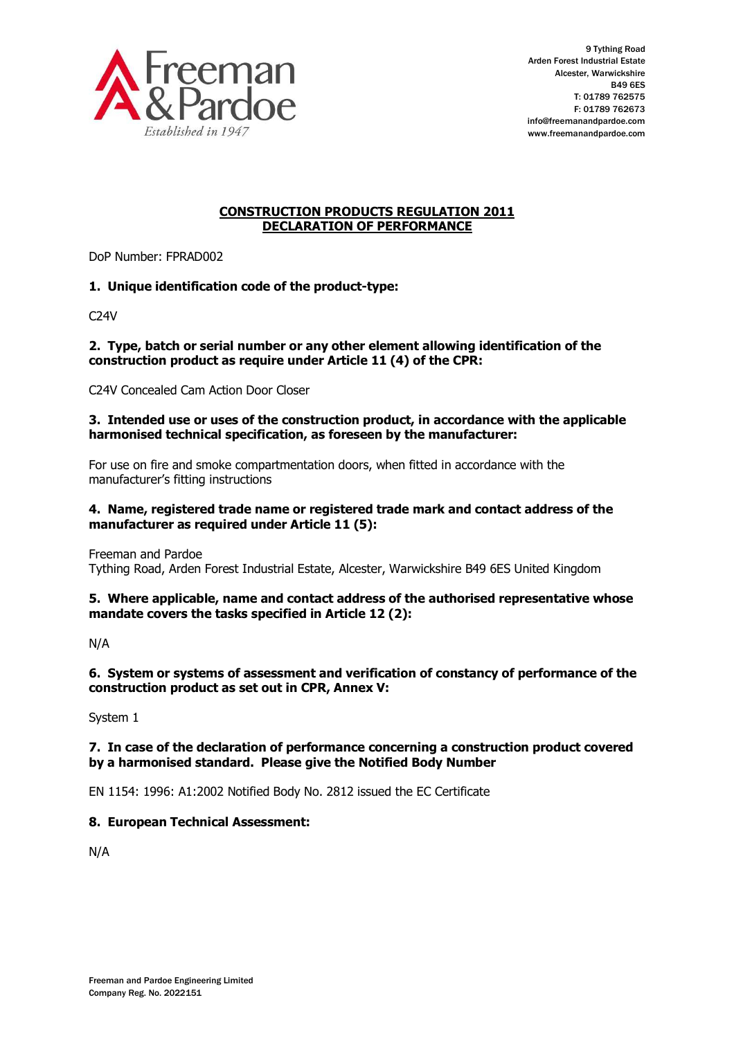

# **CONSTRUCTION PRODUCTS REGULATION 2011 DECLARATION OF PERFORMANCE**

DoP Number: FPRAD002

# **1. Unique identification code of the product-type:**

C24V

#### **2. Type, batch or serial number or any other element allowing identification of the construction product as require under Article 11 (4) of the CPR:**

C24V Concealed Cam Action Door Closer

#### **3. Intended use or uses of the construction product, in accordance with the applicable harmonised technical specification, as foreseen by the manufacturer:**

For use on fire and smoke compartmentation doors, when fitted in accordance with the manufacturer's fitting instructions

#### **4. Name, registered trade name or registered trade mark and contact address of the manufacturer as required under Article 11 (5):**

Freeman and Pardoe

Tything Road, Arden Forest Industrial Estate, Alcester, Warwickshire B49 6ES United Kingdom

### **5. Where applicable, name and contact address of the authorised representative whose mandate covers the tasks specified in Article 12 (2):**

N/A

### **6. System or systems of assessment and verification of constancy of performance of the construction product as set out in CPR, Annex V:**

System 1

# **7. In case of the declaration of performance concerning a construction product covered by a harmonised standard. Please give the Notified Body Number**

EN 1154: 1996: A1:2002 Notified Body No. 2812 issued the EC Certificate

# **8. European Technical Assessment:**

N/A